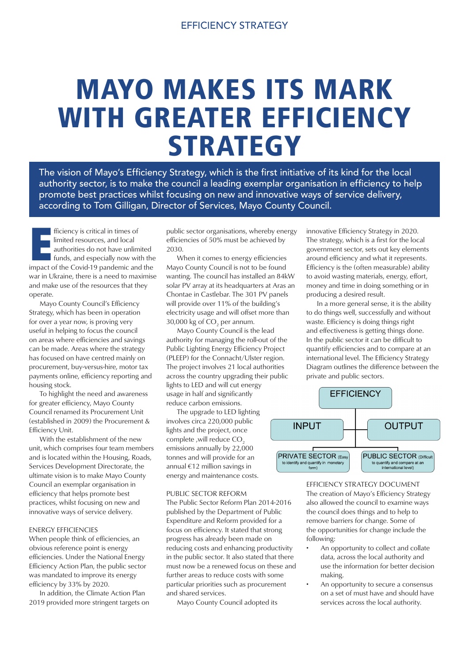# MAYO MAKES ITS MARK WITH GREATER EFFICIENCY **STRATEGY**

The vision of Mayo's Efficiency Strategy, which is the first initiative of its kind for the local authority sector, is to make the council a leading exemplar organisation in efficiency to help promote best practices whilst focusing on new and innovative ways of service delivery, according to Tom Gilligan, Director of Services, Mayo County Council.

fficiency is critical in times of<br>
limited resources, and local<br>
authorities do not have unlimited<br>
funds, and especially now with the<br>
impact of the Covid-19 pandemic and the fficiency is critical in times of limited resources, and local authorities do not have unlimited funds, and especially now with the war in Ukraine, there is a need to maximise and make use of the resources that they operate.

 Mayo County Council's Efficiency Strategy, which has been in operation for over a year now, is proving very useful in helping to focus the council on areas where efficiencies and savings can be made. Areas where the strategy has focused on have centred mainly on procurement, buy-versus-hire, motor tax payments online, efficiency reporting and housing stock.

 To highlight the need and awareness for greater efficiency, Mayo County Council renamed its Procurement Unit (established in 2009) the Procurement & Efficiency Unit.

 With the establishment of the new unit, which comprises four team members and is located within the Housing, Roads, Services Development Directorate, the ultimate vision is to make Mayo County Council an exemplar organisation in efficiency that helps promote best practices, whilst focusing on new and innovative ways of service delivery.

## ENERGY EFFICIENCIES

When people think of efficiencies, an obvious reference point is energy efficiencies. Under the National Energy Efficiency Action Plan, the public sector was mandated to improve its energy efficiency by 33% by 2020.

 In addition, the Climate Action Plan 2019 provided more stringent targets on public sector organisations, whereby energy efficiencies of 50% must be achieved by 2030.

 When it comes to energy efficiencies Mayo County Council is not to be found wanting. The council has installed an 84kW solar PV array at its headquarters at Aras an Chontae in Castlebar. The 301 PV panels will provide over 11% of the building's electricity usage and will offset more than 30,000 kg of  $CO<sub>2</sub>$  per annum.

 Mayo County Council is the lead authority for managing the roll-out of the Public Lighting Energy Efficiency Project (PLEEP) for the Connacht/Ulster region. The project involves 21 local authorities across the country upgrading their public lights to LED and will cut energy usage in half and significantly reduce carbon emissions.

 The upgrade to LED lighting involves circa 220,000 public lights and the project, once complete ,will reduce CO<sub>2</sub> emissions annually by 22,000 tonnes and will provide for an annual €12 million savings in energy and maintenance costs.

### PUBLIC SECTOR REFORM

The Public Sector Reform Plan 2014-2016 published by the Department of Public Expenditure and Reform provided for a focus on efficiency. It stated that strong progress has already been made on reducing costs and enhancing productivity in the public sector. It also stated that there must now be a renewed focus on these and further areas to reduce costs with some particular priorities such as procurement and shared services.

Mayo County Council adopted its

innovative Efficiency Strategy in 2020. The strategy, which is a first for the local government sector, sets out key elements around efficiency and what it represents. Efficiency is the (often measurable) ability to avoid wasting materials, energy, effort, money and time in doing something or in producing a desired result.

 In a more general sense, it is the ability to do things well, successfully and without waste. Efficiency is doing things right and effectiveness is getting things done. In the public sector it can be difficult to quantify efficiencies and to compare at an international level. The Efficiency Strategy Diagram outlines the difference between the private and public sectors.



EFFICIENCY STRATEGY DOCUMENT The creation of Mayo's Efficiency Strategy also allowed the council to examine ways the council does things and to help to remove barriers for change. Some of the opportunities for change include the following:

- An opportunity to collect and collate data, across the local authority and use the information for better decision making.
- An opportunity to secure a consensus on a set of must have and should have services across the local authority.